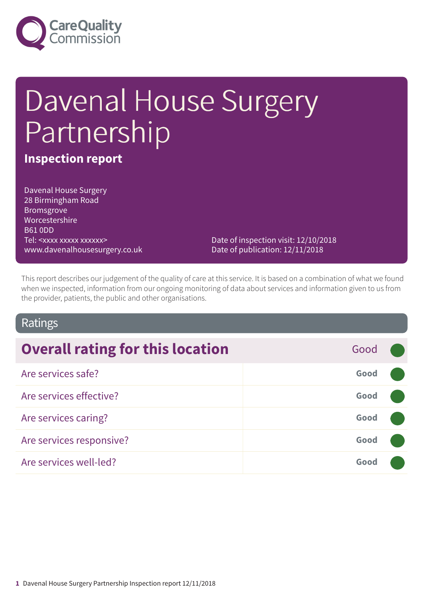

# Davenal House Surgery Partnership

### **Inspection report**

Davenal House Surgery 28 Birmingham Road Bromsgrove Worcestershire B61 0DD Tel: <xxxx xxxxx xxxxxx> www.davenalhousesurgery.co.uk

Date of inspection visit: 12/10/2018 Date of publication: 12/11/2018

This report describes our judgement of the quality of care at this service. It is based on a combination of what we found when we inspected, information from our ongoing monitoring of data about services and information given to us from the provider, patients, the public and other organisations.

### Ratings

| <b>Overall rating for this location</b> | Good |  |
|-----------------------------------------|------|--|
| Are services safe?                      | Good |  |
| Are services effective?                 | Good |  |
| Are services caring?                    | Good |  |
| Are services responsive?                | Good |  |
| Are services well-led?                  | Good |  |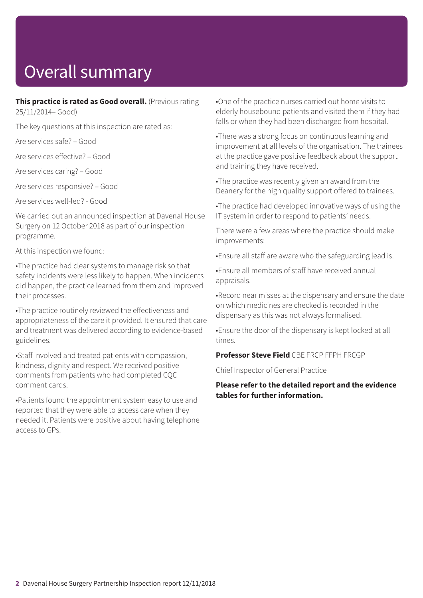# Overall summary

**This practice is rated as Good overall.** (Previous rating 25/11/2014– Good)

The key questions at this inspection are rated as:

Are services safe? – Good

Are services effective? – Good

Are services caring? – Good

Are services responsive? – Good

Are services well-led? - Good

We carried out an announced inspection at Davenal House Surgery on 12 October 2018 as part of our inspection programme.

At this inspection we found:

•The practice had clear systems to manage risk so that safety incidents were less likely to happen. When incidents did happen, the practice learned from them and improved their processes.

•The practice routinely reviewed the effectiveness and appropriateness of the care it provided. It ensured that care and treatment was delivered according to evidence-based guidelines.

•Staff involved and treated patients with compassion, kindness, dignity and respect. We received positive comments from patients who had completed CQC comment cards.

•Patients found the appointment system easy to use and reported that they were able to access care when they needed it. Patients were positive about having telephone access to GPs.

•One of the practice nurses carried out home visits to elderly housebound patients and visited them if they had falls or when they had been discharged from hospital.

•There was a strong focus on continuous learning and improvement at all levels of the organisation. The trainees at the practice gave positive feedback about the support and training they have received.

•The practice was recently given an award from the Deanery for the high quality support offered to trainees.

•The practice had developed innovative ways of using the IT system in order to respond to patients' needs.

There were a few areas where the practice should make improvements:

•Ensure all staff are aware who the safeguarding lead is.

•Ensure all members of staff have received annual appraisals.

•Record near misses at the dispensary and ensure the date on which medicines are checked is recorded in the dispensary as this was not always formalised.

•Ensure the door of the dispensary is kept locked at all times.

**Professor Steve Field** CBE FRCP FFPH FRCGP

Chief Inspector of General Practice

#### **Please refer to the detailed report and the evidence tables for further information.**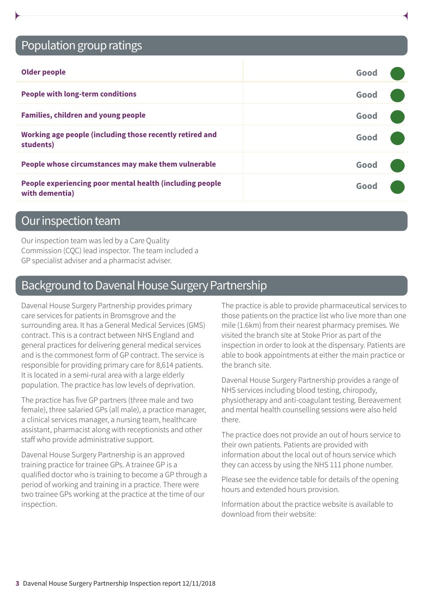### Population group ratings

| <b>Older people</b>                                                        | Good |  |
|----------------------------------------------------------------------------|------|--|
| <b>People with long-term conditions</b>                                    | Good |  |
| <b>Families, children and young people</b>                                 | Good |  |
| Working age people (including those recently retired and<br>students)      | Good |  |
| People whose circumstances may make them vulnerable                        | Good |  |
| People experiencing poor mental health (including people<br>with dementia) | Good |  |

### Our inspection team

Our inspection team was led by a Care Quality Commission (CQC) lead inspector. The team included a GP specialist adviser and a pharmacist adviser.

### Background to Davenal House Surgery Partnership

Davenal House Surgery Partnership provides primary care services for patients in Bromsgrove and the surrounding area. It has a General Medical Services (GMS) contract. This is a contract between NHS England and general practices for delivering general medical services and is the commonest form of GP contract. The service is responsible for providing primary care for 8,614 patients. It is located in a semi-rural area with a large elderly population. The practice has low levels of deprivation.

The practice has five GP partners (three male and two female), three salaried GPs (all male), a practice manager, a clinical services manager, a nursing team, healthcare assistant, pharmacist along with receptionists and other staff who provide administrative support.

Davenal House Surgery Partnership is an approved training practice for trainee GPs. A trainee GP is a qualified doctor who is training to become a GP through a period of working and training in a practice. There were two trainee GPs working at the practice at the time of our inspection.

The practice is able to provide pharmaceutical services to those patients on the practice list who live more than one mile (1.6km) from their nearest pharmacy premises. We visited the branch site at Stoke Prior as part of the inspection in order to look at the dispensary. Patients are able to book appointments at either the main practice or the branch site.

Davenal House Surgery Partnership provides a range of NHS services including blood testing, chiropody, physiotherapy and anti-coagulant testing. Bereavement and mental health counselling sessions were also held there.

The practice does not provide an out of hours service to their own patients. Patients are provided with information about the local out of hours service which they can access by using the NHS 111 phone number.

Please see the evidence table for details of the opening hours and extended hours provision.

Information about the practice website is available to download from their website: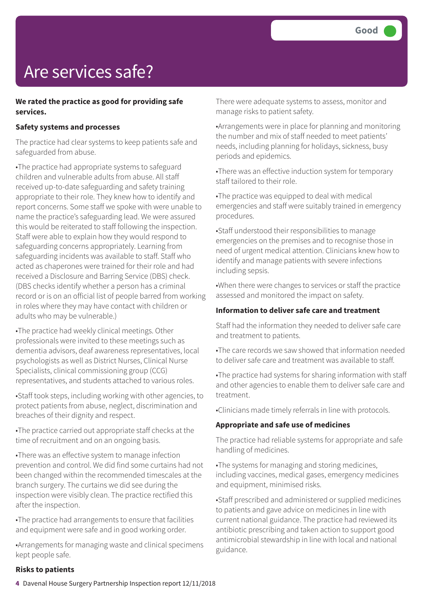# Are services safe?

#### **We rated the practice as good for providing safe services.**

#### **Safety systems and processes**

The practice had clear systems to keep patients safe and safeguarded from abuse.

•The practice had appropriate systems to safeguard children and vulnerable adults from abuse. All staff received up-to-date safeguarding and safety training appropriate to their role. They knew how to identify and report concerns. Some staff we spoke with were unable to name the practice's safeguarding lead. We were assured this would be reiterated to staff following the inspection. Staff were able to explain how they would respond to safeguarding concerns appropriately. Learning from safeguarding incidents was available to staff. Staff who acted as chaperones were trained for their role and had received a Disclosure and Barring Service (DBS) check. (DBS checks identify whether a person has a criminal record or is on an official list of people barred from working in roles where they may have contact with children or adults who may be vulnerable.)

•The practice had weekly clinical meetings. Other professionals were invited to these meetings such as dementia advisors, deaf awareness representatives, local psychologists as well as District Nurses, Clinical Nurse Specialists, clinical commissioning group (CCG) representatives, and students attached to various roles.

•Staff took steps, including working with other agencies, to protect patients from abuse, neglect, discrimination and breaches of their dignity and respect.

•The practice carried out appropriate staff checks at the time of recruitment and on an ongoing basis.

•There was an effective system to manage infection prevention and control. We did find some curtains had not been changed within the recommended timescales at the branch surgery. The curtains we did see during the inspection were visibly clean. The practice rectified this after the inspection.

•The practice had arrangements to ensure that facilities and equipment were safe and in good working order.

•Arrangements for managing waste and clinical specimens kept people safe.

There were adequate systems to assess, monitor and manage risks to patient safety.

•Arrangements were in place for planning and monitoring the number and mix of staff needed to meet patients' needs, including planning for holidays, sickness, busy periods and epidemics.

•There was an effective induction system for temporary staff tailored to their role.

•The practice was equipped to deal with medical emergencies and staff were suitably trained in emergency procedures.

•Staff understood their responsibilities to manage emergencies on the premises and to recognise those in need of urgent medical attention. Clinicians knew how to identify and manage patients with severe infections including sepsis.

•When there were changes to services or staff the practice assessed and monitored the impact on safety.

#### **Information to deliver safe care and treatment**

Staff had the information they needed to deliver safe care and treatment to patients.

•The care records we saw showed that information needed to deliver safe care and treatment was available to staff.

•The practice had systems for sharing information with staff and other agencies to enable them to deliver safe care and treatment.

•Clinicians made timely referrals in line with protocols.

#### **Appropriate and safe use of medicines**

The practice had reliable systems for appropriate and safe handling of medicines.

•The systems for managing and storing medicines, including vaccines, medical gases, emergency medicines and equipment, minimised risks.

•Staff prescribed and administered or supplied medicines to patients and gave advice on medicines in line with current national guidance. The practice had reviewed its antibiotic prescribing and taken action to support good antimicrobial stewardship in line with local and national guidance.

#### **Risks to patients**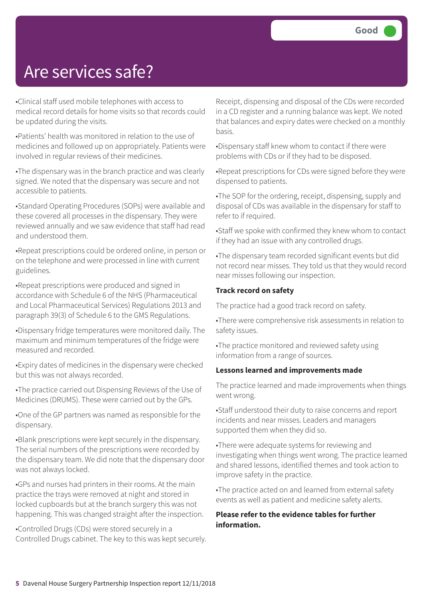### Are services safe?

•Clinical staff used mobile telephones with access to medical record details for home visits so that records could be updated during the visits.

•Patients' health was monitored in relation to the use of medicines and followed up on appropriately. Patients were involved in regular reviews of their medicines.

•The dispensary was in the branch practice and was clearly signed. We noted that the dispensary was secure and not accessible to patients.

•Standard Operating Procedures (SOPs) were available and these covered all processes in the dispensary. They were reviewed annually and we saw evidence that staff had read and understood them.

•Repeat prescriptions could be ordered online, in person or on the telephone and were processed in line with current guidelines.

•Repeat prescriptions were produced and signed in accordance with Schedule 6 of the NHS (Pharmaceutical and Local Pharmaceutical Services) Regulations 2013 and paragraph 39(3) of Schedule 6 to the GMS Regulations.

•Dispensary fridge temperatures were monitored daily. The maximum and minimum temperatures of the fridge were measured and recorded.

•Expiry dates of medicines in the dispensary were checked but this was not always recorded.

•The practice carried out Dispensing Reviews of the Use of Medicines (DRUMS). These were carried out by the GPs.

•One of the GP partners was named as responsible for the dispensary.

•Blank prescriptions were kept securely in the dispensary. The serial numbers of the prescriptions were recorded by the dispensary team. We did note that the dispensary door was not always locked.

•GPs and nurses had printers in their rooms. At the main practice the trays were removed at night and stored in locked cupboards but at the branch surgery this was not happening. This was changed straight after the inspection.

•Controlled Drugs (CDs) were stored securely in a Controlled Drugs cabinet. The key to this was kept securely. Receipt, dispensing and disposal of the CDs were recorded in a CD register and a running balance was kept. We noted that balances and expiry dates were checked on a monthly basis.

•Dispensary staff knew whom to contact if there were problems with CDs or if they had to be disposed.

•Repeat prescriptions for CDs were signed before they were dispensed to patients.

•The SOP for the ordering, receipt, dispensing, supply and disposal of CDs was available in the dispensary for staff to refer to if required.

•Staff we spoke with confirmed they knew whom to contact if they had an issue with any controlled drugs.

•The dispensary team recorded significant events but did not record near misses. They told us that they would record near misses following our inspection.

#### **Track record on safety**

The practice had a good track record on safety.

•There were comprehensive risk assessments in relation to safety issues.

•The practice monitored and reviewed safety using information from a range of sources.

#### **Lessons learned and improvements made**

The practice learned and made improvements when things went wrong.

•Staff understood their duty to raise concerns and report incidents and near misses. Leaders and managers supported them when they did so.

•There were adequate systems for reviewing and investigating when things went wrong. The practice learned and shared lessons, identified themes and took action to improve safety in the practice.

•The practice acted on and learned from external safety events as well as patient and medicine safety alerts.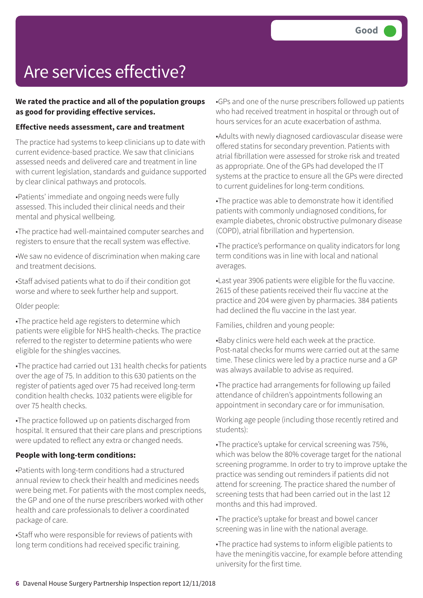# Are services effective?

#### **We rated the practice and all of the population groups as good for providing effective services.**

#### **Effective needs assessment, care and treatment**

The practice had systems to keep clinicians up to date with current evidence-based practice. We saw that clinicians assessed needs and delivered care and treatment in line with current legislation, standards and guidance supported by clear clinical pathways and protocols.

•Patients' immediate and ongoing needs were fully assessed. This included their clinical needs and their mental and physical wellbeing.

•The practice had well-maintained computer searches and registers to ensure that the recall system was effective.

•We saw no evidence of discrimination when making care and treatment decisions.

•Staff advised patients what to do if their condition got worse and where to seek further help and support.

Older people:

•The practice held age registers to determine which patients were eligible for NHS health-checks. The practice referred to the register to determine patients who were eligible for the shingles vaccines.

•The practice had carried out 131 health checks for patients over the age of 75. In addition to this 630 patients on the register of patients aged over 75 had received long-term condition health checks. 1032 patients were eligible for over 75 health checks.

•The practice followed up on patients discharged from hospital. It ensured that their care plans and prescriptions were updated to reflect any extra or changed needs.

#### **People with long-term conditions:**

•Patients with long-term conditions had a structured annual review to check their health and medicines needs were being met. For patients with the most complex needs, the GP and one of the nurse prescribers worked with other health and care professionals to deliver a coordinated package of care.

•Staff who were responsible for reviews of patients with long term conditions had received specific training.

•GPs and one of the nurse prescribers followed up patients who had received treatment in hospital or through out of hours services for an acute exacerbation of asthma.

•Adults with newly diagnosed cardiovascular disease were offered statins for secondary prevention. Patients with atrial fibrillation were assessed for stroke risk and treated as appropriate. One of the GPs had developed the IT systems at the practice to ensure all the GPs were directed to current guidelines for long-term conditions.

•The practice was able to demonstrate how it identified patients with commonly undiagnosed conditions, for example diabetes, chronic obstructive pulmonary disease (COPD), atrial fibrillation and hypertension.

•The practice's performance on quality indicators for long term conditions was in line with local and national averages.

•Last year 3906 patients were eligible for the flu vaccine. 2615 of these patients received their flu vaccine at the practice and 204 were given by pharmacies. 384 patients had declined the flu vaccine in the last year.

Families, children and young people:

•Baby clinics were held each week at the practice. Post-natal checks for mums were carried out at the same time. These clinics were led by a practice nurse and a GP was always available to advise as required.

•The practice had arrangements for following up failed attendance of children's appointments following an appointment in secondary care or for immunisation.

Working age people (including those recently retired and students):

•The practice's uptake for cervical screening was 75%, which was below the 80% coverage target for the national screening programme. In order to try to improve uptake the practice was sending out reminders if patients did not attend for screening. The practice shared the number of screening tests that had been carried out in the last 12 months and this had improved.

•The practice's uptake for breast and bowel cancer screening was in line with the national average.

•The practice had systems to inform eligible patients to have the meningitis vaccine, for example before attending university for the first time.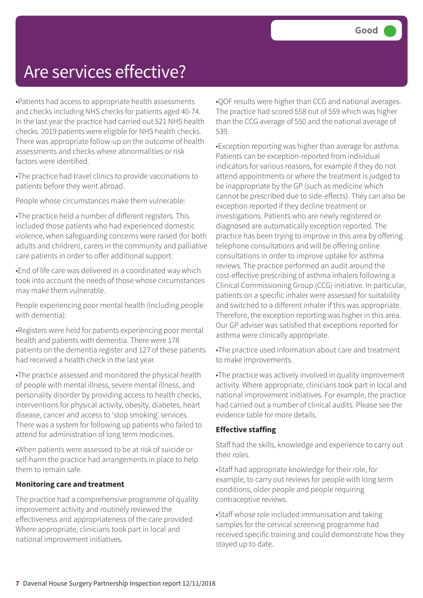### Are services effective?

•Patients had access to appropriate health assessments and checks including NHS checks for patients aged 40-74. In the last year the practice had carried out 521 NHS health checks. 2019 patients were eligible for NHS health checks. There was appropriate follow-up on the outcome of health assessments and checks where abnormalities or risk factors were identified.

•The practice had travel clinics to provide vaccinations to patients before they went abroad.

People whose circumstances make them vulnerable:

•The practice held a number of different registers. This included those patients who had experienced domestic violence, when safeguarding concerns were raised (for both adults and children), carers in the community and palliative care patients in order to offer additional support.

•End of life care was delivered in a coordinated way which took into account the needs of those whose circumstances may make them vulnerable.

People experiencing poor mental health (including people with dementia):

•Registers were held for patients experiencing poor mental health and patients with dementia. There were 178 patients on the dementia register and 127 of these patients had received a health check in the last year.

•The practice assessed and monitored the physical health of people with mental illness, severe mental illness, and personality disorder by providing access to health checks, interventions for physical activity, obesity, diabetes, heart disease, cancer and access to 'stop smoking' services. There was a system for following up patients who failed to attend for administration of long term medicines.

•When patients were assessed to be at risk of suicide or self-harm the practice had arrangements in place to help them to remain safe.

#### **Monitoring care and treatment**

The practice had a comprehensive programme of quality improvement activity and routinely reviewed the effectiveness and appropriateness of the care provided. Where appropriate, clinicians took part in local and national improvement initiatives.

•QOF results were higher than CCG and national averages. The practice had scored 558 out of 559 which was higher than the CCG average of 550 and the national average of 539.

•Exception reporting was higher than average for asthma. Patients can be exception-reported from individual indicators for various reasons, for example if they do not attend appointments or where the treatment is judged to be inappropriate by the GP (such as medicine which cannot be prescribed due to side-effects). They can also be exception reported if they decline treatment or investigations. Patients who are newly registered or diagnosed are automatically exception reported. The practice has been trying to improve in this area by offering telephone consultations and will be offering online consultations in order to improve uptake for asthma reviews. The practice performed an audit around the cost-effective prescribing of asthma inhalers following a Clinical Commissioning Group (CCG) initiative. In particular, patients on a specific inhaler were assessed for suitability and switched to a different inhaler if this was appropriate. Therefore, the exception reporting was higher in this area. Our GP adviser was satisfied that exceptions reported for asthma were clinically appropriate.

•The practice used information about care and treatment to make improvements.

•The practice was actively involved in quality improvement activity. Where appropriate, clinicians took part in local and national improvement initiatives. For example, the practice had carried out a number of clinical audits. Please see the evidence table for more details.

#### **Effective staffing**

Staff had the skills, knowledge and experience to carry out their roles.

•Staff had appropriate knowledge for their role, for example, to carry out reviews for people with long term conditions, older people and people requiring contraceptive reviews.

•Staff whose role included immunisation and taking samples for the cervical screening programme had received specific training and could demonstrate how they stayed up to date.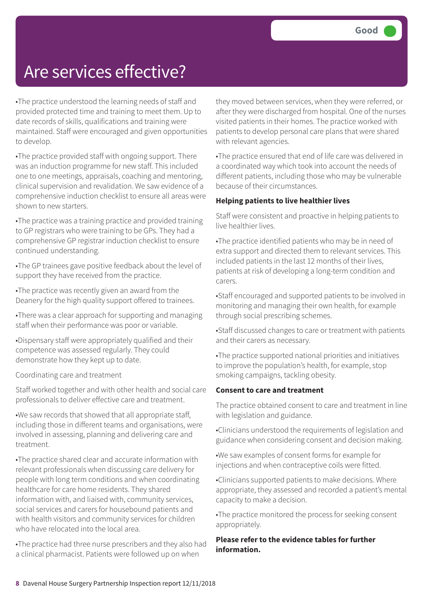### Are services effective?

•The practice understood the learning needs of staff and provided protected time and training to meet them. Up to date records of skills, qualifications and training were maintained. Staff were encouraged and given opportunities to develop.

•The practice provided staff with ongoing support. There was an induction programme for new staff. This included one to one meetings, appraisals, coaching and mentoring, clinical supervision and revalidation. We saw evidence of a comprehensive induction checklist to ensure all areas were shown to new starters.

•The practice was a training practice and provided training to GP registrars who were training to be GPs. They had a comprehensive GP registrar induction checklist to ensure continued understanding.

•The GP trainees gave positive feedback about the level of support they have received from the practice.

•The practice was recently given an award from the Deanery for the high quality support offered to trainees.

•There was a clear approach for supporting and managing staff when their performance was poor or variable.

•Dispensary staff were appropriately qualified and their competence was assessed regularly. They could demonstrate how they kept up to date.

Coordinating care and treatment

Staff worked together and with other health and social care professionals to deliver effective care and treatment.

•We saw records that showed that all appropriate staff, including those in different teams and organisations, were involved in assessing, planning and delivering care and treatment.

•The practice shared clear and accurate information with relevant professionals when discussing care delivery for people with long term conditions and when coordinating healthcare for care home residents. They shared information with, and liaised with, community services, social services and carers for housebound patients and with health visitors and community services for children who have relocated into the local area.

•The practice had three nurse prescribers and they also had a clinical pharmacist. Patients were followed up on when

they moved between services, when they were referred, or after they were discharged from hospital. One of the nurses visited patients in their homes. The practice worked with patients to develop personal care plans that were shared with relevant agencies.

•The practice ensured that end of life care was delivered in a coordinated way which took into account the needs of different patients, including those who may be vulnerable because of their circumstances.

#### **Helping patients to live healthier lives**

Staff were consistent and proactive in helping patients to live healthier lives.

•The practice identified patients who may be in need of extra support and directed them to relevant services. This included patients in the last 12 months of their lives, patients at risk of developing a long-term condition and carers.

•Staff encouraged and supported patients to be involved in monitoring and managing their own health, for example through social prescribing schemes.

•Staff discussed changes to care or treatment with patients and their carers as necessary.

•The practice supported national priorities and initiatives to improve the population's health, for example, stop smoking campaigns, tackling obesity.

#### **Consent to care and treatment**

The practice obtained consent to care and treatment in line with legislation and guidance.

•Clinicians understood the requirements of legislation and guidance when considering consent and decision making.

•We saw examples of consent forms for example for injections and when contraceptive coils were fitted.

•Clinicians supported patients to make decisions. Where appropriate, they assessed and recorded a patient's mental capacity to make a decision.

•The practice monitored the process for seeking consent appropriately.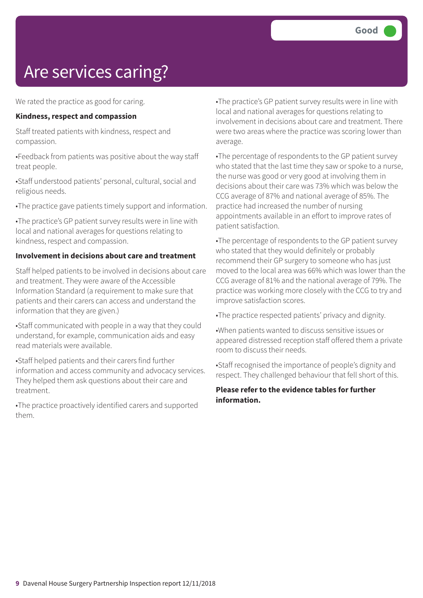# Are services caring?

We rated the practice as good for caring.

#### **Kindness, respect and compassion**

Staff treated patients with kindness, respect and compassion.

•Feedback from patients was positive about the way staff treat people.

•Staff understood patients' personal, cultural, social and religious needs.

•The practice gave patients timely support and information.

•The practice's GP patient survey results were in line with local and national averages for questions relating to kindness, respect and compassion.

#### **Involvement in decisions about care and treatment**

Staff helped patients to be involved in decisions about care and treatment. They were aware of the Accessible Information Standard (a requirement to make sure that patients and their carers can access and understand the information that they are given.)

•Staff communicated with people in a way that they could understand, for example, communication aids and easy read materials were available.

•Staff helped patients and their carers find further information and access community and advocacy services. They helped them ask questions about their care and treatment.

•The practice proactively identified carers and supported them.

•The practice's GP patient survey results were in line with local and national averages for questions relating to involvement in decisions about care and treatment. There were two areas where the practice was scoring lower than average.

•The percentage of respondents to the GP patient survey who stated that the last time they saw or spoke to a nurse, the nurse was good or very good at involving them in decisions about their care was 73% which was below the CCG average of 87% and national average of 85%. The practice had increased the number of nursing appointments available in an effort to improve rates of patient satisfaction.

•The percentage of respondents to the GP patient survey who stated that they would definitely or probably recommend their GP surgery to someone who has just moved to the local area was 66% which was lower than the CCG average of 81% and the national average of 79%. The practice was working more closely with the CCG to try and improve satisfaction scores.

•The practice respected patients' privacy and dignity.

•When patients wanted to discuss sensitive issues or appeared distressed reception staff offered them a private room to discuss their needs.

•Staff recognised the importance of people's dignity and respect. They challenged behaviour that fell short of this.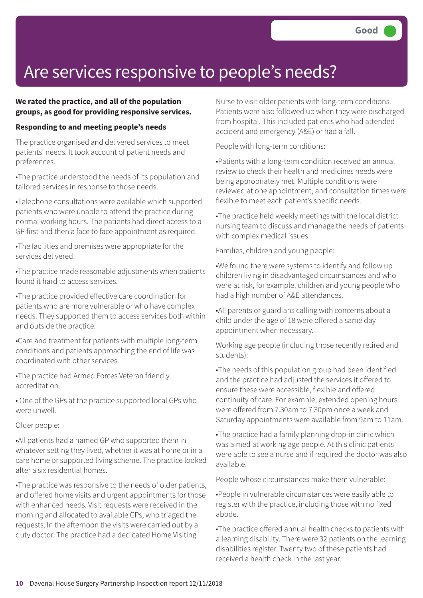### Are services responsive to people's needs?

#### **We rated the practice, and all of the population groups, as good for providing responsive services.**

#### **Responding to and meeting people's needs**

The practice organised and delivered services to meet patients' needs. It took account of patient needs and preferences.

•The practice understood the needs of its population and tailored services in response to those needs.

•Telephone consultations were available which supported patients who were unable to attend the practice during normal working hours. The patients had direct access to a GP first and then a face to face appointment as required.

•The facilities and premises were appropriate for the services delivered.

•The practice made reasonable adjustments when patients found it hard to access services.

•The practice provided effective care coordination for patients who are more vulnerable or who have complex needs. They supported them to access services both within and outside the practice.

•Care and treatment for patients with multiple long-term conditions and patients approaching the end of life was coordinated with other services.

•The practice had Armed Forces Veteran friendly accreditation.

• One of the GPs at the practice supported local GPs who were unwell.

#### Older people:

•All patients had a named GP who supported them in whatever setting they lived, whether it was at home or in a care home or supported living scheme. The practice looked after a six residential homes.

•The practice was responsive to the needs of older patients, and offered home visits and urgent appointments for those with enhanced needs. Visit requests were received in the morning and allocated to available GPs, who triaged the requests. In the afternoon the visits were carried out by a duty doctor. The practice had a dedicated Home Visiting

Nurse to visit older patients with long-term conditions. Patients were also followed up when they were discharged from hospital. This included patients who had attended accident and emergency (A&E) or had a fall.

People with long-term conditions:

•Patients with a long-term condition received an annual review to check their health and medicines needs were being appropriately met. Multiple conditions were reviewed at one appointment, and consultation times were flexible to meet each patient's specific needs.

•The practice held weekly meetings with the local district nursing team to discuss and manage the needs of patients with complex medical issues.

Families, children and young people:

•We found there were systems to identify and follow up children living in disadvantaged circumstances and who were at risk, for example, children and young people who had a high number of A&E attendances.

•All parents or guardians calling with concerns about a child under the age of 18 were offered a same day appointment when necessary.

Working age people (including those recently retired and students):

•The needs of this population group had been identified and the practice had adjusted the services it offered to ensure these were accessible, flexible and offered continuity of care. For example, extended opening hours were offered from 7.30am to 7.30pm once a week and Saturday appointments were available from 9am to 11am.

•The practice had a family planning drop-in clinic which was aimed at working age people. At this clinic patients were able to see a nurse and if required the doctor was also available.

People whose circumstances make them vulnerable:

•People in vulnerable circumstances were easily able to register with the practice, including those with no fixed abode.

•The practice offered annual health checks to patients with a learning disability. There were 32 patients on the learning disabilities register. Twenty two of these patients had received a health check in the last year.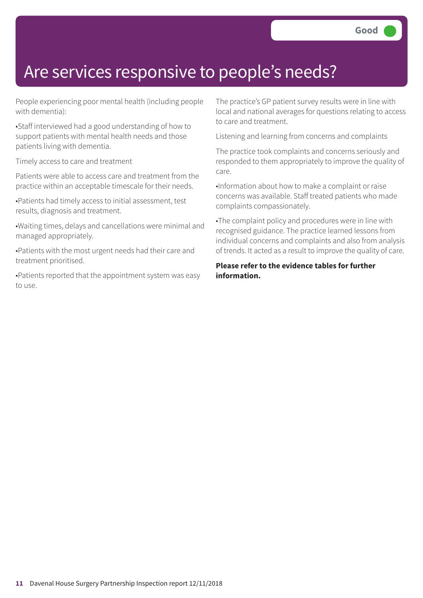### Are services responsive to people's needs?

People experiencing poor mental health (including people with dementia):

•Staff interviewed had a good understanding of how to support patients with mental health needs and those patients living with dementia.

Timely access to care and treatment

Patients were able to access care and treatment from the practice within an acceptable timescale for their needs.

•Patients had timely access to initial assessment, test results, diagnosis and treatment.

•Waiting times, delays and cancellations were minimal and managed appropriately.

•Patients with the most urgent needs had their care and treatment prioritised.

•Patients reported that the appointment system was easy to use.

The practice's GP patient survey results were in line with local and national averages for questions relating to access to care and treatment.

Listening and learning from concerns and complaints

The practice took complaints and concerns seriously and responded to them appropriately to improve the quality of care.

•Information about how to make a complaint or raise concerns was available. Staff treated patients who made complaints compassionately.

•The complaint policy and procedures were in line with recognised guidance. The practice learned lessons from individual concerns and complaints and also from analysis of trends. It acted as a result to improve the quality of care.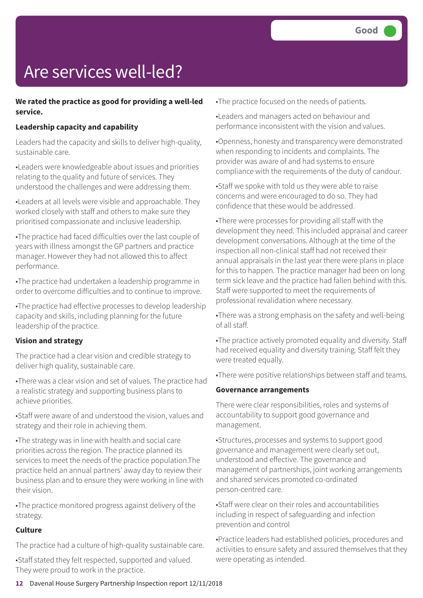# Are services well-led?

#### **We rated the practice as good for providing a well-led service.**

#### **Leadership capacity and capability**

Leaders had the capacity and skills to deliver high-quality, sustainable care.

•Leaders were knowledgeable about issues and priorities relating to the quality and future of services. They understood the challenges and were addressing them.

•Leaders at all levels were visible and approachable. They worked closely with staff and others to make sure they prioritised compassionate and inclusive leadership.

•The practice had faced difficulties over the last couple of years with illness amongst the GP partners and practice manager. However they had not allowed this to affect performance.

•The practice had undertaken a leadership programme in order to overcome difficulties and to continue to improve.

•The practice had effective processes to develop leadership capacity and skills, including planning for the future leadership of the practice.

#### **Vision and strategy**

The practice had a clear vision and credible strategy to deliver high quality, sustainable care.

•There was a clear vision and set of values. The practice had a realistic strategy and supporting business plans to achieve priorities.

•Staff were aware of and understood the vision, values and strategy and their role in achieving them.

•The strategy was in line with health and social care priorities across the region. The practice planned its services to meet the needs of the practice population.The practice held an annual partners' away day to review their business plan and to ensure they were working in line with their vision.

•The practice monitored progress against delivery of the strategy.

#### **Culture**

The practice had a culture of high-quality sustainable care.

•Staff stated they felt respected, supported and valued. They were proud to work in the practice.

•The practice focused on the needs of patients.

•Leaders and managers acted on behaviour and performance inconsistent with the vision and values.

•Openness, honesty and transparency were demonstrated when responding to incidents and complaints. The provider was aware of and had systems to ensure compliance with the requirements of the duty of candour.

•Staff we spoke with told us they were able to raise concerns and were encouraged to do so. They had confidence that these would be addressed.

•There were processes for providing all staff with the development they need. This included appraisal and career development conversations. Although at the time of the inspection all non-clinical staff had not received their annual appraisals in the last year there were plans in place for this to happen. The practice manager had been on long term sick leave and the practice had fallen behind with this. Staff were supported to meet the requirements of professional revalidation where necessary.

•There was a strong emphasis on the safety and well-being of all staff.

•The practice actively promoted equality and diversity. Staff had received equality and diversity training. Staff felt they were treated equally.

•There were positive relationships between staff and teams.

#### **Governance arrangements**

There were clear responsibilities, roles and systems of accountability to support good governance and management.

•Structures, processes and systems to support good governance and management were clearly set out, understood and effective. The governance and management of partnerships, joint working arrangements and shared services promoted co-ordinated person-centred care.

•Staff were clear on their roles and accountabilities including in respect of safeguarding and infection prevention and control

•Practice leaders had established policies, procedures and activities to ensure safety and assured themselves that they were operating as intended.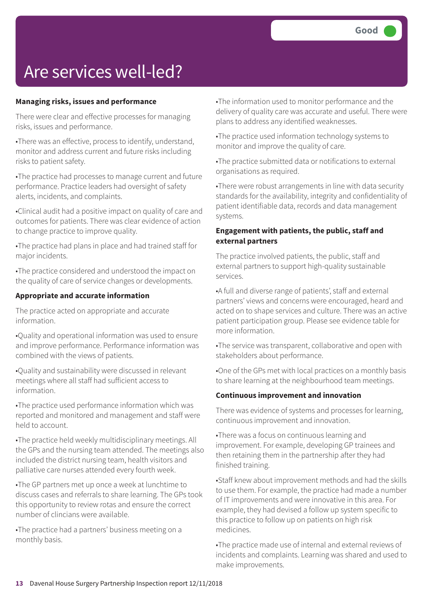### Are services well-led?

#### **Managing risks, issues and performance**

There were clear and effective processes for managing risks, issues and performance.

•There was an effective, process to identify, understand, monitor and address current and future risks including risks to patient safety.

•The practice had processes to manage current and future performance. Practice leaders had oversight of safety alerts, incidents, and complaints.

•Clinical audit had a positive impact on quality of care and outcomes for patients. There was clear evidence of action to change practice to improve quality.

•The practice had plans in place and had trained staff for major incidents.

•The practice considered and understood the impact on the quality of care of service changes or developments.

#### **Appropriate and accurate information**

The practice acted on appropriate and accurate information.

•Quality and operational information was used to ensure and improve performance. Performance information was combined with the views of patients.

•Quality and sustainability were discussed in relevant meetings where all staff had sufficient access to information.

•The practice used performance information which was reported and monitored and management and staff were held to account.

•The practice held weekly multidisciplinary meetings. All the GPs and the nursing team attended. The meetings also included the district nursing team, health visitors and palliative care nurses attended every fourth week.

•The GP partners met up once a week at lunchtime to discuss cases and referrals to share learning. The GPs took this opportunity to review rotas and ensure the correct number of clincians were available.

•The practice had a partners' business meeting on a monthly basis.

•The information used to monitor performance and the delivery of quality care was accurate and useful. There were plans to address any identified weaknesses.

•The practice used information technology systems to monitor and improve the quality of care.

•The practice submitted data or notifications to external organisations as required.

•There were robust arrangements in line with data security standards for the availability, integrity and confidentiality of patient identifiable data, records and data management systems.

#### **Engagement with patients, the public, staff and external partners**

The practice involved patients, the public, staff and external partners to support high-quality sustainable services.

•A full and diverse range of patients', staff and external partners' views and concerns were encouraged, heard and acted on to shape services and culture. There was an active patient participation group. Please see evidence table for more information.

•The service was transparent, collaborative and open with stakeholders about performance.

•One of the GPs met with local practices on a monthly basis to share learning at the neighbourhood team meetings.

#### **Continuous improvement and innovation**

There was evidence of systems and processes for learning, continuous improvement and innovation.

•There was a focus on continuous learning and improvement. For example, developing GP trainees and then retaining them in the partnership after they had finished training.

•Staff knew about improvement methods and had the skills to use them. For example, the practice had made a number of IT improvements and were innovative in this area. For example, they had devised a follow up system specific to this practice to follow up on patients on high risk medicines.

•The practice made use of internal and external reviews of incidents and complaints. Learning was shared and used to make improvements.